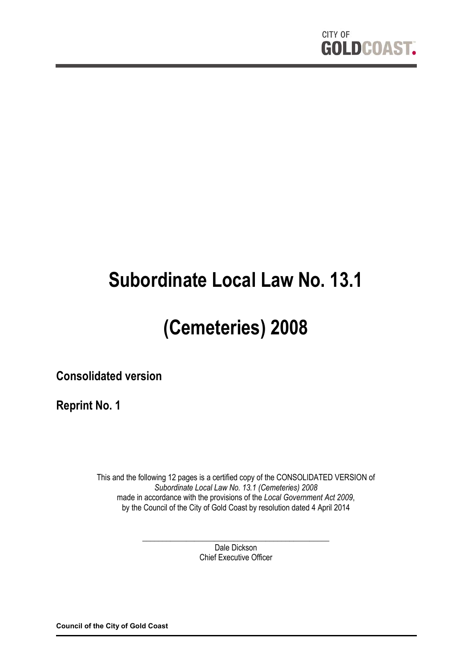

# **Subordinate Local Law No. 13.1**

# **(Cemeteries) 2008**

**Consolidated version**

**Reprint No. 1**

This and the following 12 pages is a certified copy of the CONSOLIDATED VERSION of *Subordinate Local Law No. 13.1 (Cemeteries) 2008* made in accordance with the provisions of the *Local Government Act 2009*, by the Council of the City of Gold Coast by resolution dated 4 April 2014

> \_\_\_\_\_\_\_\_\_\_\_\_\_\_\_\_\_\_\_\_\_\_\_\_\_\_\_\_\_\_\_\_\_\_\_\_\_\_\_\_\_\_\_\_\_\_\_ Dale Dickson Chief Executive Officer

**Council of the City of Gold Coast**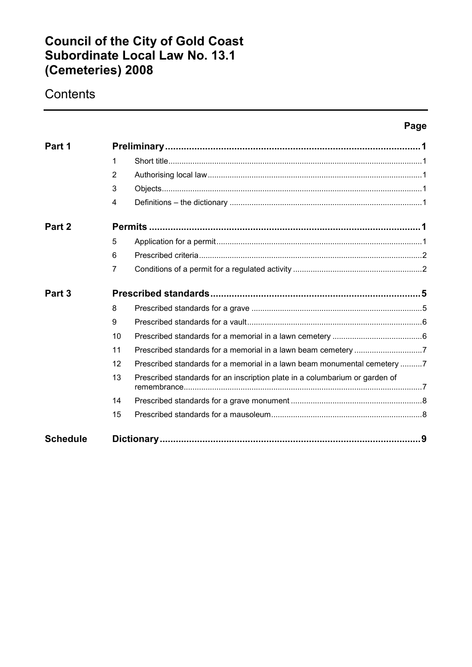## **Council of the City of Gold Coast Subordinate Local Law No. 13.1 (Cemeteries) 2008**

# **Contents**

### **Page**

| Part 1            |                |                                                                             |  |
|-------------------|----------------|-----------------------------------------------------------------------------|--|
|                   | 1              |                                                                             |  |
|                   | 2              |                                                                             |  |
|                   | 3              |                                                                             |  |
|                   | 4              |                                                                             |  |
| Part 2            |                |                                                                             |  |
|                   | 5              |                                                                             |  |
|                   | 6              |                                                                             |  |
|                   | $\overline{7}$ |                                                                             |  |
| Part <sub>3</sub> |                |                                                                             |  |
|                   | 8              |                                                                             |  |
|                   | 9              |                                                                             |  |
|                   | 10             |                                                                             |  |
|                   | 11             |                                                                             |  |
|                   | 12             | Prescribed standards for a memorial in a lawn beam monumental cemetery 7    |  |
|                   | 13             | Prescribed standards for an inscription plate in a columbarium or garden of |  |
|                   | 14             |                                                                             |  |
|                   | 15             |                                                                             |  |
| <b>Schedule</b>   |                |                                                                             |  |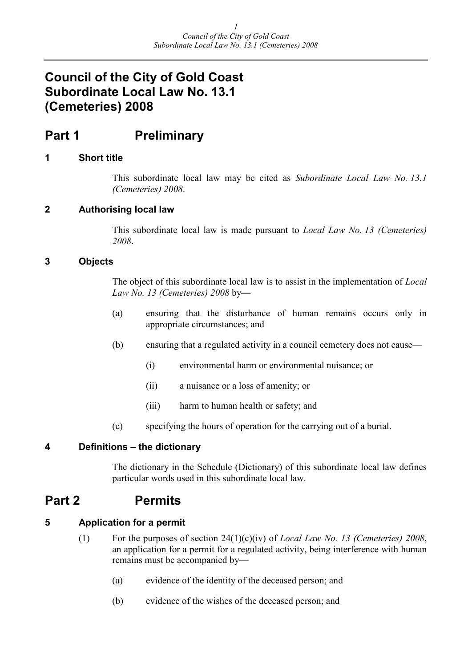## **Council of the City of Gold Coast Subordinate Local Law No. 13.1 (Cemeteries) 2008**

## **Part 1 Preliminary**

#### **1 Short title**

This subordinate local law may be cited as *Subordinate Local Law No. 13.1 (Cemeteries) 2008*.

#### **2 Authorising local law**

This subordinate local law is made pursuant to *Local Law No. 13 (Cemeteries) 2008*.

#### **3 Objects**

The object of this subordinate local law is to assist in the implementation of *Local Law No. 13 (Cemeteries) 2008* by—

- (a) ensuring that the disturbance of human remains occurs only in appropriate circumstances; and
- (b) ensuring that a regulated activity in a council cemetery does not cause—
	- (i) environmental harm or environmental nuisance; or
	- (ii) a nuisance or a loss of amenity; or
	- (iii) harm to human health or safety; and
- (c) specifying the hours of operation for the carrying out of a burial.

#### **4 Definitions – the dictionary**

The dictionary in the Schedule (Dictionary) of this subordinate local law defines particular words used in this subordinate local law.

## **Part 2 Permits**

#### **5 Application for a permit**

- (1) For the purposes of section 24(1)(c)(iv) of *Local Law No. 13 (Cemeteries) 2008*, an application for a permit for a regulated activity, being interference with human remains must be accompanied by—
	- (a) evidence of the identity of the deceased person; and
	- (b) evidence of the wishes of the deceased person; and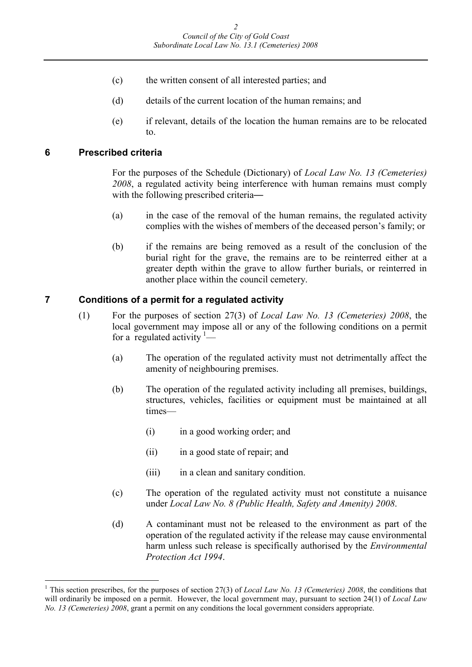- (c) the written consent of all interested parties; and
- (d) details of the current location of the human remains; and
- (e) if relevant, details of the location the human remains are to be relocated to.

#### **6 Prescribed criteria**

For the purposes of the Schedule (Dictionary) of *Local Law No. 13 (Cemeteries) 2008*, a regulated activity being interference with human remains must comply with the following prescribed criteria—

- (a) in the case of the removal of the human remains, the regulated activity complies with the wishes of members of the deceased person's family; or
- (b) if the remains are being removed as a result of the conclusion of the burial right for the grave, the remains are to be reinterred either at a greater depth within the grave to allow further burials, or reinterred in another place within the council cemetery.

#### **7 Conditions of a permit for a regulated activity**

- (1) For the purposes of section 27(3) of *Local Law No. 13 (Cemeteries) 2008*, the local government may impose all or any of the following conditions on a permit for a regulated activity  $1$ —
	- (a) The operation of the regulated activity must not detrimentally affect the amenity of neighbouring premises.
	- (b) The operation of the regulated activity including all premises, buildings, structures, vehicles, facilities or equipment must be maintained at all times—
		- (i) in a good working order; and
		- (ii) in a good state of repair; and
		- (iii) in a clean and sanitary condition.
	- (c) The operation of the regulated activity must not constitute a nuisance under *Local Law No. 8 (Public Health, Safety and Amenity) 2008*.
	- (d) A contaminant must not be released to the environment as part of the operation of the regulated activity if the release may cause environmental harm unless such release is specifically authorised by the *Environmental Protection Act 1994*.

<span id="page-3-0"></span><sup>&</sup>lt;sup>1</sup> This section prescribes, for the purposes of section 27(3) of *Local Law No. 13 (Cemeteries) 2008*, the conditions that will ordinarily be imposed on a permit. However, the local government may, pursuant to section 24(1) of *Local Law No. 13 (Cemeteries) 2008*, grant a permit on any conditions the local government considers appropriate.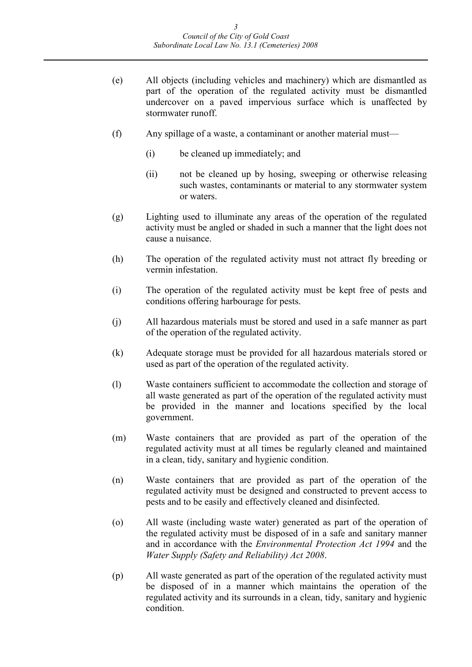- (e) All objects (including vehicles and machinery) which are dismantled as part of the operation of the regulated activity must be dismantled undercover on a paved impervious surface which is unaffected by stormwater runoff.
- (f) Any spillage of a waste, a contaminant or another material must—
	- (i) be cleaned up immediately; and
	- (ii) not be cleaned up by hosing, sweeping or otherwise releasing such wastes, contaminants or material to any stormwater system or waters.
- (g) Lighting used to illuminate any areas of the operation of the regulated activity must be angled or shaded in such a manner that the light does not cause a nuisance.
- (h) The operation of the regulated activity must not attract fly breeding or vermin infestation.
- (i) The operation of the regulated activity must be kept free of pests and conditions offering harbourage for pests.
- (j) All hazardous materials must be stored and used in a safe manner as part of the operation of the regulated activity.
- (k) Adequate storage must be provided for all hazardous materials stored or used as part of the operation of the regulated activity.
- (l) Waste containers sufficient to accommodate the collection and storage of all waste generated as part of the operation of the regulated activity must be provided in the manner and locations specified by the local government.
- (m) Waste containers that are provided as part of the operation of the regulated activity must at all times be regularly cleaned and maintained in a clean, tidy, sanitary and hygienic condition.
- (n) Waste containers that are provided as part of the operation of the regulated activity must be designed and constructed to prevent access to pests and to be easily and effectively cleaned and disinfected.
- (o) All waste (including waste water) generated as part of the operation of the regulated activity must be disposed of in a safe and sanitary manner and in accordance with the *Environmental Protection Act 1994* and the *Water Supply (Safety and Reliability) Act 2008*.
- (p) All waste generated as part of the operation of the regulated activity must be disposed of in a manner which maintains the operation of the regulated activity and its surrounds in a clean, tidy, sanitary and hygienic condition.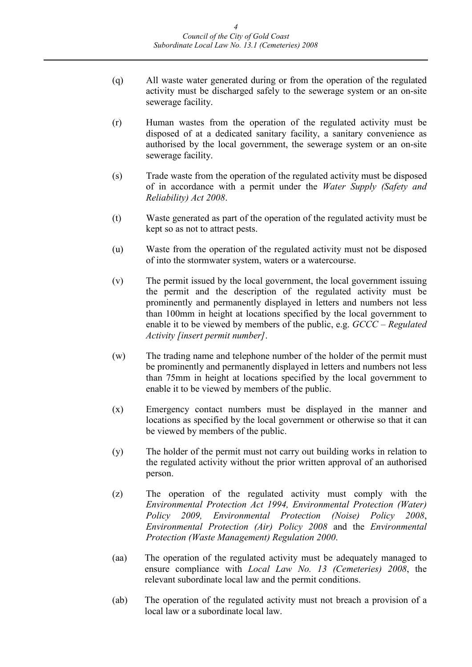- (q) All waste water generated during or from the operation of the regulated activity must be discharged safely to the sewerage system or an on-site sewerage facility.
- (r) Human wastes from the operation of the regulated activity must be disposed of at a dedicated sanitary facility, a sanitary convenience as authorised by the local government, the sewerage system or an on-site sewerage facility.
- (s) Trade waste from the operation of the regulated activity must be disposed of in accordance with a permit under the *Water Supply (Safety and Reliability) Act 2008*.
- (t) Waste generated as part of the operation of the regulated activity must be kept so as not to attract pests.
- (u) Waste from the operation of the regulated activity must not be disposed of into the stormwater system, waters or a watercourse.
- (v) The permit issued by the local government, the local government issuing the permit and the description of the regulated activity must be prominently and permanently displayed in letters and numbers not less than 100mm in height at locations specified by the local government to enable it to be viewed by members of the public, e.g. *GCCC – Regulated Activity [insert permit number]*.
- (w) The trading name and telephone number of the holder of the permit must be prominently and permanently displayed in letters and numbers not less than 75mm in height at locations specified by the local government to enable it to be viewed by members of the public.
- (x) Emergency contact numbers must be displayed in the manner and locations as specified by the local government or otherwise so that it can be viewed by members of the public.
- (y) The holder of the permit must not carry out building works in relation to the regulated activity without the prior written approval of an authorised person.
- (z) The operation of the regulated activity must comply with the *Environmental Protection Act 1994, Environmental Protection (Water) Policy 2009, Environmental Protection (Noise) Policy 2008*, *Environmental Protection (Air) Policy 2008* and the *Environmental Protection (Waste Management) Regulation 2000*.
- (aa) The operation of the regulated activity must be adequately managed to ensure compliance with *Local Law No. 13 (Cemeteries) 2008*, the relevant subordinate local law and the permit conditions.
- (ab) The operation of the regulated activity must not breach a provision of a local law or a subordinate local law.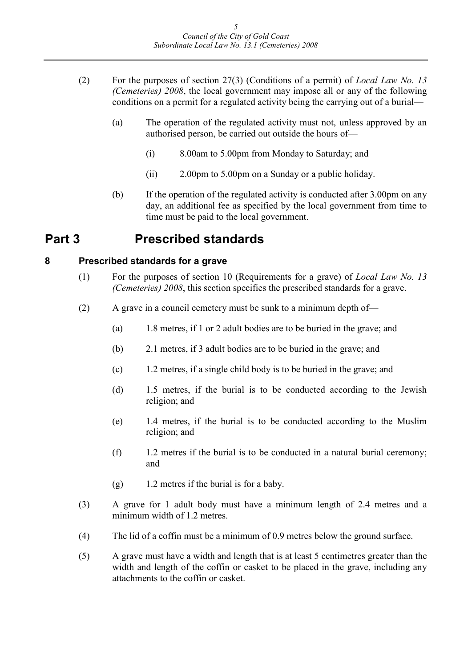- (2) For the purposes of section 27(3) (Conditions of a permit) of *Local Law No. 13 (Cemeteries) 2008*, the local government may impose all or any of the following conditions on a permit for a regulated activity being the carrying out of a burial—
	- (a) The operation of the regulated activity must not, unless approved by an authorised person, be carried out outside the hours of—
		- (i) 8.00am to 5.00pm from Monday to Saturday; and
		- (ii) 2.00pm to 5.00pm on a Sunday or a public holiday.
	- (b) If the operation of the regulated activity is conducted after 3.00pm on any day, an additional fee as specified by the local government from time to time must be paid to the local government.

## **Part 3 Prescribed standards**

### **8 Prescribed standards for a grave**

- (1) For the purposes of section 10 (Requirements for a grave) of *Local Law No. 13 (Cemeteries) 2008*, this section specifies the prescribed standards for a grave.
- (2) A grave in a council cemetery must be sunk to a minimum depth of—
	- (a) 1.8 metres, if 1 or 2 adult bodies are to be buried in the grave; and
	- (b) 2.1 metres, if 3 adult bodies are to be buried in the grave; and
	- (c) 1.2 metres, if a single child body is to be buried in the grave; and
	- (d) 1.5 metres, if the burial is to be conducted according to the Jewish religion; and
	- (e) 1.4 metres, if the burial is to be conducted according to the Muslim religion; and
	- (f) 1.2 metres if the burial is to be conducted in a natural burial ceremony; and
	- (g) 1.2 metres if the burial is for a baby.
- (3) A grave for 1 adult body must have a minimum length of 2.4 metres and a minimum width of 1.2 metres.
- (4) The lid of a coffin must be a minimum of 0.9 metres below the ground surface.
- (5) A grave must have a width and length that is at least 5 centimetres greater than the width and length of the coffin or casket to be placed in the grave, including any attachments to the coffin or casket.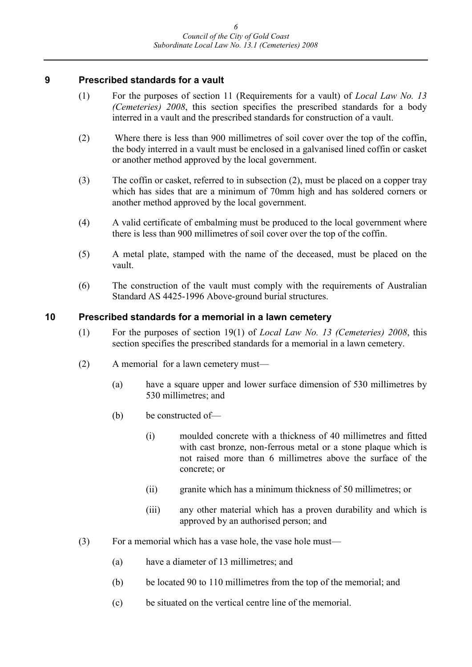#### **9 Prescribed standards for a vault**

- (1) For the purposes of section 11 (Requirements for a vault) of *Local Law No. 13 (Cemeteries) 2008*, this section specifies the prescribed standards for a body interred in a vault and the prescribed standards for construction of a vault.
- (2) Where there is less than 900 millimetres of soil cover over the top of the coffin, the body interred in a vault must be enclosed in a galvanised lined coffin or casket or another method approved by the local government.
- (3) The coffin or casket, referred to in subsection (2), must be placed on a copper tray which has sides that are a minimum of 70mm high and has soldered corners or another method approved by the local government.
- (4) A valid certificate of embalming must be produced to the local government where there is less than 900 millimetres of soil cover over the top of the coffin.
- (5) A metal plate, stamped with the name of the deceased, must be placed on the vault.
- (6) The construction of the vault must comply with the requirements of Australian Standard AS 4425-1996 Above-ground burial structures.

#### **10 Prescribed standards for a memorial in a lawn cemetery**

- (1) For the purposes of section 19(1) of *Local Law No. 13 (Cemeteries) 2008*, this section specifies the prescribed standards for a memorial in a lawn cemetery.
- (2) A memorial for a lawn cemetery must—
	- (a) have a square upper and lower surface dimension of 530 millimetres by 530 millimetres; and
	- (b) be constructed of—
		- (i) moulded concrete with a thickness of 40 millimetres and fitted with cast bronze, non-ferrous metal or a stone plaque which is not raised more than 6 millimetres above the surface of the concrete; or
		- (ii) granite which has a minimum thickness of 50 millimetres; or
		- (iii) any other material which has a proven durability and which is approved by an authorised person; and
- (3) For a memorial which has a vase hole, the vase hole must—
	- (a) have a diameter of 13 millimetres; and
	- (b) be located 90 to 110 millimetres from the top of the memorial; and
	- (c) be situated on the vertical centre line of the memorial.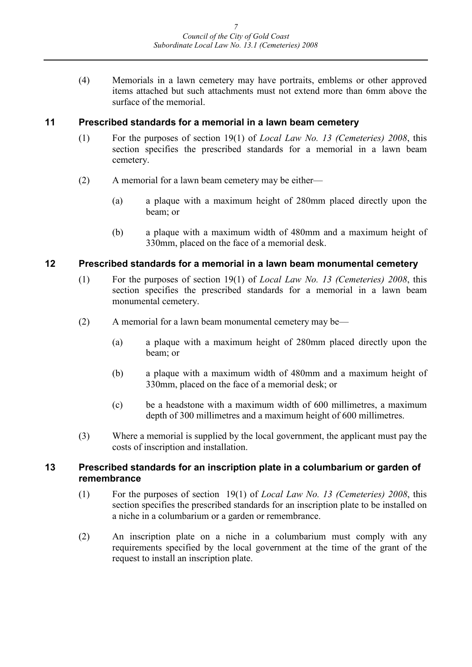(4) Memorials in a lawn cemetery may have portraits, emblems or other approved items attached but such attachments must not extend more than 6mm above the surface of the memorial.

#### **11 Prescribed standards for a memorial in a lawn beam cemetery**

- (1) For the purposes of section 19(1) of *Local Law No. 13 (Cemeteries) 2008*, this section specifies the prescribed standards for a memorial in a lawn beam cemetery.
- (2) A memorial for a lawn beam cemetery may be either—
	- (a) a plaque with a maximum height of 280mm placed directly upon the beam; or
	- (b) a plaque with a maximum width of 480mm and a maximum height of 330mm, placed on the face of a memorial desk.

#### **12 Prescribed standards for a memorial in a lawn beam monumental cemetery**

- (1) For the purposes of section 19(1) of *Local Law No. 13 (Cemeteries) 2008*, this section specifies the prescribed standards for a memorial in a lawn beam monumental cemetery.
- (2) A memorial for a lawn beam monumental cemetery may be—
	- (a) a plaque with a maximum height of 280mm placed directly upon the beam; or
	- (b) a plaque with a maximum width of 480mm and a maximum height of 330mm, placed on the face of a memorial desk; or
	- (c) be a headstone with a maximum width of 600 millimetres, a maximum depth of 300 millimetres and a maximum height of 600 millimetres.
- (3) Where a memorial is supplied by the local government, the applicant must pay the costs of inscription and installation.

#### **13 Prescribed standards for an inscription plate in a columbarium or garden of remembrance**

- (1) For the purposes of section 19(1) of *Local Law No. 13 (Cemeteries) 2008*, this section specifies the prescribed standards for an inscription plate to be installed on a niche in a columbarium or a garden or remembrance.
- (2) An inscription plate on a niche in a columbarium must comply with any requirements specified by the local government at the time of the grant of the request to install an inscription plate.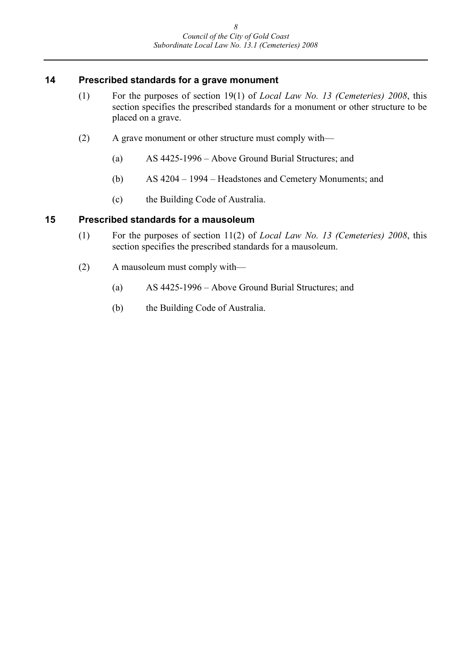#### **14 Prescribed standards for a grave monument**

- (1) For the purposes of section 19(1) of *Local Law No. 13 (Cemeteries) 2008*, this section specifies the prescribed standards for a monument or other structure to be placed on a grave.
- (2) A grave monument or other structure must comply with—
	- (a) AS 4425-1996 Above Ground Burial Structures; and
	- (b) AS 4204 1994 Headstones and Cemetery Monuments; and
	- (c) the Building Code of Australia.

#### **15 Prescribed standards for a mausoleum**

- (1) For the purposes of section 11(2) of *Local Law No. 13 (Cemeteries) 2008*, this section specifies the prescribed standards for a mausoleum.
- (2) A mausoleum must comply with—
	- (a) AS 4425-1996 Above Ground Burial Structures; and
	- (b) the Building Code of Australia.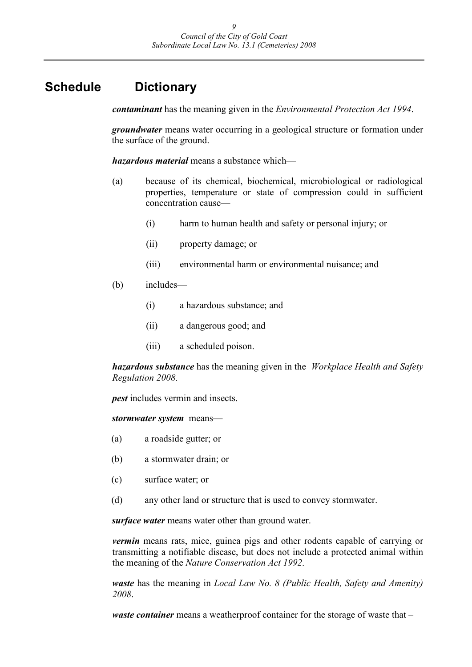## **Schedule Dictionary**

*contaminant* has the meaning given in the *Environmental Protection Act 1994*.

*groundwater* means water occurring in a geological structure or formation under the surface of the ground.

*hazardous material* means a substance which—

- (a) because of its chemical, biochemical, microbiological or radiological properties, temperature or state of compression could in sufficient concentration cause—
	- (i) harm to human health and safety or personal injury; or
	- (ii) property damage; or
	- (iii) environmental harm or environmental nuisance; and
- (b) includes—
	- (i) a hazardous substance; and
	- (ii) a dangerous good; and
	- (iii) a scheduled poison.

*hazardous substance* has the meaning given in the *Workplace Health and Safety Regulation 2008*.

*pest* includes vermin and insects.

*stormwater system* means—

- (a) a roadside gutter; or
- (b) a stormwater drain; or
- (c) surface water; or
- (d) any other land or structure that is used to convey stormwater.

*surface water* means water other than ground water.

*vermin* means rats, mice, guinea pigs and other rodents capable of carrying or transmitting a notifiable disease, but does not include a protected animal within the meaning of the *Nature Conservation Act 1992*.

*waste* has the meaning in *Local Law No. 8 (Public Health, Safety and Amenity) 2008*.

*waste container* means a weatherproof container for the storage of waste that –